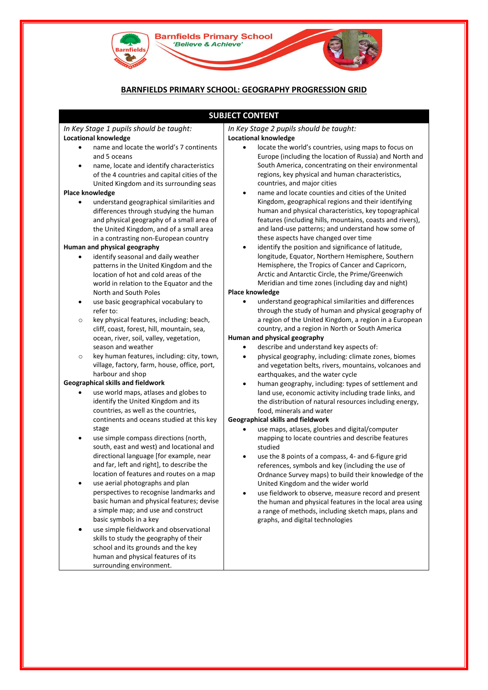

### **BARNFIELDS PRIMARY SCHOOL: GEOGRAPHY PROGRESSION GRID**

# **SUBJECT CONTENT**

#### *In Key Stage 1 pupils should be taught:* **Locational knowledge**

- name and locate the world's 7 continents and 5 oceans
- name, locate and identify characteristics of the 4 countries and capital cities of the United Kingdom and its surrounding seas

#### **Place knowledge**

• understand geographical similarities and differences through studying the human and physical geography of a small area of the United Kingdom, and of a small area in a contrasting non-European country

## **Human and physical geography**

- identify seasonal and daily weather patterns in the United Kingdom and the location of hot and cold areas of the world in relation to the Equator and the North and South Poles
- use basic geographical vocabulary to refer to:
- o key physical features, including: beach, cliff, coast, forest, hill, mountain, sea, ocean, river, soil, valley, vegetation, season and weather
- key human features, including: city, town, village, factory, farm, house, office, port, harbour and shop

#### **Geographical skills and fieldwork**

- use world maps, atlases and globes to identify the United Kingdom and its countries, as well as the countries, continents and oceans studied at this key stage
- use simple compass directions (north, south, east and west) and locational and directional language [for example, near and far, left and right], to describe the location of features and routes on a map
- use aerial photographs and plan perspectives to recognise landmarks and basic human and physical features; devise a simple map; and use and construct basic symbols in a key
- use simple fieldwork and observational skills to study the geography of their school and its grounds and the key human and physical features of its surrounding environment.

#### *In Key Stage 2 pupils should be taught:* **Locational knowledge**

- locate the world's countries, using maps to focus on Europe (including the location of Russia) and North and South America, concentrating on their environmental regions, key physical and human characteristics, countries, and major cities
- name and locate counties and cities of the United Kingdom, geographical regions and their identifying human and physical characteristics, key topographical features (including hills, mountains, coasts and rivers), and land-use patterns; and understand how some of these aspects have changed over time
- identify the position and significance of latitude, longitude, Equator, Northern Hemisphere, Southern Hemisphere, the Tropics of Cancer and Capricorn, Arctic and Antarctic Circle, the Prime/Greenwich Meridian and time zones (including day and night)

### **Place knowledge**

• understand geographical similarities and differences through the study of human and physical geography of a region of the United Kingdom, a region in a European country, and a region in North or South America

#### **Human and physical geography**

- describe and understand key aspects of:
- physical geography, including: climate zones, biomes and vegetation belts, rivers, mountains, volcanoes and earthquakes, and the water cycle
- human geography, including: types of settlement and land use, economic activity including trade links, and the distribution of natural resources including energy, food, minerals and water

#### **Geographical skills and fieldwork**

- use maps, atlases, globes and digital/computer mapping to locate countries and describe features studied
- use the 8 points of a compass, 4- and 6-figure grid references, symbols and key (including the use of Ordnance Survey maps) to build their knowledge of the United Kingdom and the wider world
- use fieldwork to observe, measure record and present the human and physical features in the local area using a range of methods, including sketch maps, plans and graphs, and digital technologies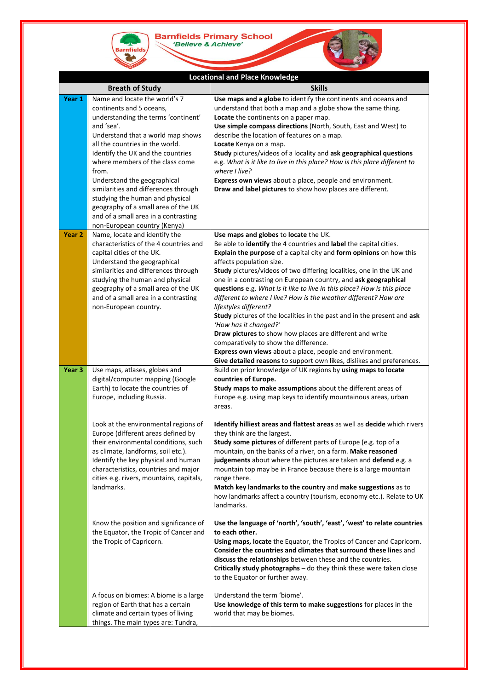

Barnfields Primary School

IQ

|                   |                                                                                                                                                                                                                                                                                                                                           | <b>Locational and Place Knowledge</b>                                                                                                                                                                                                                                                                                                                                                                                                                                                                                                                                                                                                                                                                                                                                                                                                                                         |
|-------------------|-------------------------------------------------------------------------------------------------------------------------------------------------------------------------------------------------------------------------------------------------------------------------------------------------------------------------------------------|-------------------------------------------------------------------------------------------------------------------------------------------------------------------------------------------------------------------------------------------------------------------------------------------------------------------------------------------------------------------------------------------------------------------------------------------------------------------------------------------------------------------------------------------------------------------------------------------------------------------------------------------------------------------------------------------------------------------------------------------------------------------------------------------------------------------------------------------------------------------------------|
|                   | <b>Breath of Study</b>                                                                                                                                                                                                                                                                                                                    | <b>Skills</b>                                                                                                                                                                                                                                                                                                                                                                                                                                                                                                                                                                                                                                                                                                                                                                                                                                                                 |
| Year 1            | Name and locate the world's 7<br>continents and 5 oceans,<br>understanding the terms 'continent'<br>and 'sea'.<br>Understand that a world map shows                                                                                                                                                                                       | Use maps and a globe to identify the continents and oceans and<br>understand that both a map and a globe show the same thing.<br>Locate the continents on a paper map.<br>Use simple compass directions (North, South, East and West) to<br>describe the location of features on a map.                                                                                                                                                                                                                                                                                                                                                                                                                                                                                                                                                                                       |
|                   | all the countries in the world.<br>Identify the UK and the countries<br>where members of the class come<br>from.<br>Understand the geographical<br>similarities and differences through<br>studying the human and physical<br>geography of a small area of the UK<br>and of a small area in a contrasting<br>non-European country (Kenya) | Locate Kenya on a map.<br>Study pictures/videos of a locality and ask geographical questions<br>e.g. What is it like to live in this place? How is this place different to<br>where I live?<br>Express own views about a place, people and environment.<br>Draw and label pictures to show how places are different.                                                                                                                                                                                                                                                                                                                                                                                                                                                                                                                                                          |
| Year 2            | Name, locate and identify the<br>characteristics of the 4 countries and<br>capital cities of the UK.<br>Understand the geographical<br>similarities and differences through<br>studying the human and physical<br>geography of a small area of the UK<br>and of a small area in a contrasting<br>non-European country.                    | Use maps and globes to locate the UK.<br>Be able to identify the 4 countries and label the capital cities.<br>Explain the purpose of a capital city and form opinions on how this<br>affects population size.<br>Study pictures/videos of two differing localities, one in the UK and<br>one in a contrasting on European country, and ask geographical<br>questions e.g. What is it like to live in this place? How is this place<br>different to where I live? How is the weather different? How are<br>lifestyles different?<br>Study pictures of the localities in the past and in the present and ask<br>'How has it changed?'<br>Draw pictures to show how places are different and write<br>comparatively to show the difference.<br>Express own views about a place, people and environment.<br>Give detailed reasons to support own likes, dislikes and preferences. |
| Year <sub>3</sub> | Use maps, atlases, globes and<br>digital/computer mapping (Google<br>Earth) to locate the countries of<br>Europe, including Russia.                                                                                                                                                                                                       | Build on prior knowledge of UK regions by using maps to locate<br>countries of Europe.<br>Study maps to make assumptions about the different areas of<br>Europe e.g. using map keys to identify mountainous areas, urban<br>areas.                                                                                                                                                                                                                                                                                                                                                                                                                                                                                                                                                                                                                                            |
|                   | Look at the environmental regions of<br>Europe (different areas defined by<br>their environmental conditions, such<br>as climate, landforms, soil etc.).<br>Identify the key physical and human<br>characteristics, countries and major<br>cities e.g. rivers, mountains, capitals,<br>landmarks.                                         | Identify hilliest areas and flattest areas as well as decide which rivers<br>they think are the largest.<br>Study some pictures of different parts of Europe (e.g. top of a<br>mountain, on the banks of a river, on a farm. Make reasoned<br>judgements about where the pictures are taken and defend e.g. a<br>mountain top may be in France because there is a large mountain<br>range there.<br>Match key landmarks to the country and make suggestions as to<br>how landmarks affect a country (tourism, economy etc.). Relate to UK<br>landmarks.                                                                                                                                                                                                                                                                                                                       |
|                   | Know the position and significance of<br>the Equator, the Tropic of Cancer and<br>the Tropic of Capricorn.                                                                                                                                                                                                                                | Use the language of 'north', 'south', 'east', 'west' to relate countries<br>to each other.<br>Using maps, locate the Equator, the Tropics of Cancer and Capricorn.<br>Consider the countries and climates that surround these lines and<br>discuss the relationships between these and the countries.<br>Critically study photographs - do they think these were taken close<br>to the Equator or further away.                                                                                                                                                                                                                                                                                                                                                                                                                                                               |
|                   | A focus on biomes: A biome is a large<br>region of Earth that has a certain<br>climate and certain types of living<br>things. The main types are: Tundra,                                                                                                                                                                                 | Understand the term 'biome'.<br>Use knowledge of this term to make suggestions for places in the<br>world that may be biomes.                                                                                                                                                                                                                                                                                                                                                                                                                                                                                                                                                                                                                                                                                                                                                 |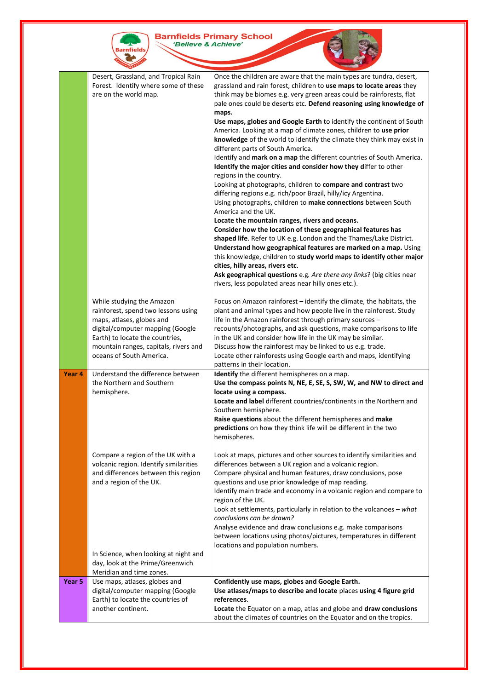| <b>Barnfields Primary School</b><br>'Believe & Achieve' |                                                                                                                                                                                                                                                        |                                                                                                                                                                                                                                                                                                                                                                                                                                                                                                                                                                                                                                                                                                                                                                                                                                                                                                                                                                                                                                                                                                                                                                                                                                                                                                                                                                                                                |
|---------------------------------------------------------|--------------------------------------------------------------------------------------------------------------------------------------------------------------------------------------------------------------------------------------------------------|----------------------------------------------------------------------------------------------------------------------------------------------------------------------------------------------------------------------------------------------------------------------------------------------------------------------------------------------------------------------------------------------------------------------------------------------------------------------------------------------------------------------------------------------------------------------------------------------------------------------------------------------------------------------------------------------------------------------------------------------------------------------------------------------------------------------------------------------------------------------------------------------------------------------------------------------------------------------------------------------------------------------------------------------------------------------------------------------------------------------------------------------------------------------------------------------------------------------------------------------------------------------------------------------------------------------------------------------------------------------------------------------------------------|
|                                                         |                                                                                                                                                                                                                                                        |                                                                                                                                                                                                                                                                                                                                                                                                                                                                                                                                                                                                                                                                                                                                                                                                                                                                                                                                                                                                                                                                                                                                                                                                                                                                                                                                                                                                                |
|                                                         |                                                                                                                                                                                                                                                        |                                                                                                                                                                                                                                                                                                                                                                                                                                                                                                                                                                                                                                                                                                                                                                                                                                                                                                                                                                                                                                                                                                                                                                                                                                                                                                                                                                                                                |
|                                                         | Desert, Grassland, and Tropical Rain<br>Forest. Identify where some of these<br>are on the world map.                                                                                                                                                  | Once the children are aware that the main types are tundra, desert,<br>grassland and rain forest, children to use maps to locate areas they<br>think may be biomes e.g. very green areas could be rainforests, flat<br>pale ones could be deserts etc. Defend reasoning using knowledge of<br>maps.<br>Use maps, globes and Google Earth to identify the continent of South<br>America. Looking at a map of climate zones, children to use prior<br>knowledge of the world to identify the climate they think may exist in<br>different parts of South America.<br>Identify and mark on a map the different countries of South America.<br>Identify the major cities and consider how they differ to other<br>regions in the country.<br>Looking at photographs, children to compare and contrast two<br>differing regions e.g. rich/poor Brazil, hilly/icy Argentina.<br>Using photographs, children to make connections between South<br>America and the UK.<br>Locate the mountain ranges, rivers and oceans.<br>Consider how the location of these geographical features has<br>shaped life. Refer to UK e.g. London and the Thames/Lake District.<br>Understand how geographical features are marked on a map. Using<br>this knowledge, children to study world maps to identify other major<br>cities, hilly areas, rivers etc.<br>Ask geographical questions e.g. Are there any links? (big cities near |
|                                                         | While studying the Amazon<br>rainforest, spend two lessons using<br>maps, atlases, globes and<br>digital/computer mapping (Google<br>Earth) to locate the countries,<br>mountain ranges, capitals, rivers and<br>oceans of South America.              | rivers, less populated areas near hilly ones etc.).<br>Focus on Amazon rainforest - identify the climate, the habitats, the<br>plant and animal types and how people live in the rainforest. Study<br>life in the Amazon rainforest through primary sources -<br>recounts/photographs, and ask questions, make comparisons to life<br>in the UK and consider how life in the UK may be similar.<br>Discuss how the rainforest may be linked to us e.g. trade.<br>Locate other rainforests using Google earth and maps, identifying<br>patterns in their location.                                                                                                                                                                                                                                                                                                                                                                                                                                                                                                                                                                                                                                                                                                                                                                                                                                              |
| Year 4                                                  | Understand the difference between<br>the Northern and Southern<br>hemisphere.                                                                                                                                                                          | Identify the different hemispheres on a map.<br>Use the compass points N, NE, E, SE, S, SW, W, and NW to direct and<br>locate using a compass.<br>Locate and label different countries/continents in the Northern and<br>Southern hemisphere.<br>Raise questions about the different hemispheres and make<br>predictions on how they think life will be different in the two<br>hemispheres.                                                                                                                                                                                                                                                                                                                                                                                                                                                                                                                                                                                                                                                                                                                                                                                                                                                                                                                                                                                                                   |
|                                                         | Compare a region of the UK with a<br>volcanic region. Identify similarities<br>and differences between this region<br>and a region of the UK.<br>In Science, when looking at night and<br>day, look at the Prime/Greenwich<br>Meridian and time zones. | Look at maps, pictures and other sources to identify similarities and<br>differences between a UK region and a volcanic region.<br>Compare physical and human features, draw conclusions, pose<br>questions and use prior knowledge of map reading.<br>Identify main trade and economy in a volcanic region and compare to<br>region of the UK.<br>Look at settlements, particularly in relation to the volcanoes $-$ what<br>conclusions can be drawn?<br>Analyse evidence and draw conclusions e.g. make comparisons<br>between locations using photos/pictures, temperatures in different<br>locations and population numbers.                                                                                                                                                                                                                                                                                                                                                                                                                                                                                                                                                                                                                                                                                                                                                                              |
| Year 5                                                  | Use maps, atlases, globes and<br>digital/computer mapping (Google<br>Earth) to locate the countries of<br>another continent.                                                                                                                           | Confidently use maps, globes and Google Earth.<br>Use atlases/maps to describe and locate places using 4 figure grid<br>references.<br>Locate the Equator on a map, atlas and globe and draw conclusions<br>about the climates of countries on the Equator and on the tropics.                                                                                                                                                                                                                                                                                                                                                                                                                                                                                                                                                                                                                                                                                                                                                                                                                                                                                                                                                                                                                                                                                                                                 |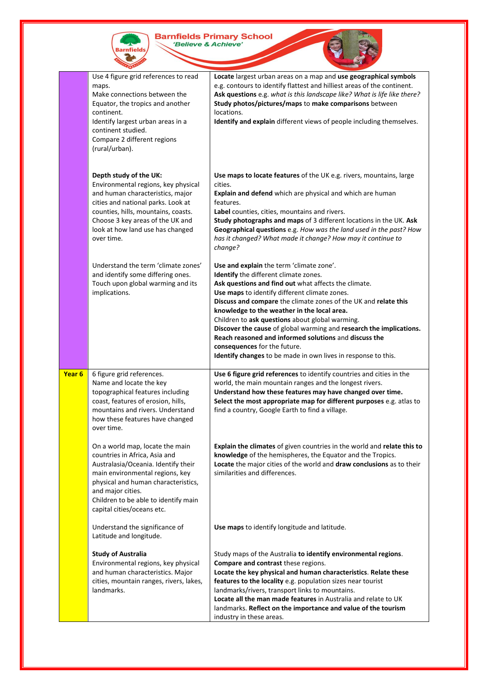

**Barnfields Primary School** 'Believe & Achieve'

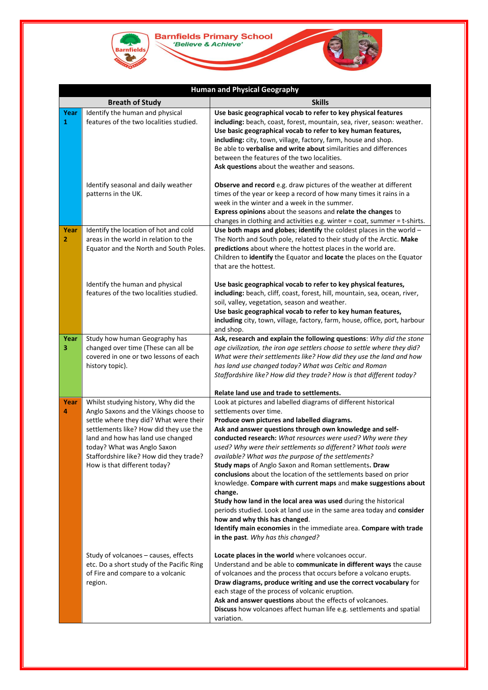

| <b>Human and Physical Geography</b> |                                                                                                                                  |                                                                                                                                                                                                                                                                                                                                                                                                                                                 |
|-------------------------------------|----------------------------------------------------------------------------------------------------------------------------------|-------------------------------------------------------------------------------------------------------------------------------------------------------------------------------------------------------------------------------------------------------------------------------------------------------------------------------------------------------------------------------------------------------------------------------------------------|
| <b>Breath of Study</b>              |                                                                                                                                  | <b>Skills</b>                                                                                                                                                                                                                                                                                                                                                                                                                                   |
| Year<br>1                           | Identify the human and physical<br>features of the two localities studied.                                                       | Use basic geographical vocab to refer to key physical features<br>including: beach, coast, forest, mountain, sea, river, season: weather.<br>Use basic geographical vocab to refer to key human features,<br>including: city, town, village, factory, farm, house and shop.<br>Be able to verbalise and write about similarities and differences<br>between the features of the two localities.<br>Ask questions about the weather and seasons. |
|                                     | Identify seasonal and daily weather<br>patterns in the UK.                                                                       | <b>Observe and record</b> e.g. draw pictures of the weather at different<br>times of the year or keep a record of how many times it rains in a<br>week in the winter and a week in the summer.<br>Express opinions about the seasons and relate the changes to<br>changes in clothing and activities e.g. winter = coat, summer = t-shirts.                                                                                                     |
| Year<br>2                           | Identify the location of hot and cold<br>areas in the world in relation to the<br>Equator and the North and South Poles.         | Use both maps and globes; identify the coldest places in the world $-$<br>The North and South pole, related to their study of the Arctic. Make<br>predictions about where the hottest places in the world are.<br>Children to identify the Equator and locate the places on the Equator<br>that are the hottest.                                                                                                                                |
|                                     | Identify the human and physical<br>features of the two localities studied.                                                       | Use basic geographical vocab to refer to key physical features,<br>including: beach, cliff, coast, forest, hill, mountain, sea, ocean, river,<br>soil, valley, vegetation, season and weather.<br>Use basic geographical vocab to refer to key human features,<br>including city, town, village, factory, farm, house, office, port, harbour<br>and shop.                                                                                       |
| Year<br>3                           | Study how human Geography has<br>changed over time (These can all be<br>covered in one or two lessons of each<br>history topic). | Ask, research and explain the following questions: Why did the stone<br>age civilization, the iron age settlers choose to settle where they did?<br>What were their settlements like? How did they use the land and how<br>has land use changed today? What was Celtic and Roman<br>Staffordshire like? How did they trade? How is that different today?                                                                                        |
| Year                                | Whilst studying history, Why did the                                                                                             | Relate land use and trade to settlements.<br>Look at pictures and labelled diagrams of different historical                                                                                                                                                                                                                                                                                                                                     |
| 4                                   | Anglo Saxons and the Vikings choose to                                                                                           | settlements over time.                                                                                                                                                                                                                                                                                                                                                                                                                          |
|                                     | settle where they did? What were their                                                                                           | Produce own pictures and labelled diagrams.                                                                                                                                                                                                                                                                                                                                                                                                     |
|                                     | settlements like? How did they use the<br>land and how has land use changed                                                      | Ask and answer questions through own knowledge and self-<br>conducted research: What resources were used? Why were they                                                                                                                                                                                                                                                                                                                         |
|                                     | today? What was Anglo Saxon                                                                                                      | used? Why were their settlements so different? What tools were                                                                                                                                                                                                                                                                                                                                                                                  |
|                                     | Staffordshire like? How did they trade?                                                                                          | available? What was the purpose of the settlements?                                                                                                                                                                                                                                                                                                                                                                                             |
|                                     | How is that different today?                                                                                                     | Study maps of Anglo Saxon and Roman settlements. Draw<br>conclusions about the location of the settlements based on prior                                                                                                                                                                                                                                                                                                                       |
|                                     |                                                                                                                                  | knowledge. Compare with current maps and make suggestions about                                                                                                                                                                                                                                                                                                                                                                                 |
|                                     |                                                                                                                                  | change.                                                                                                                                                                                                                                                                                                                                                                                                                                         |
|                                     |                                                                                                                                  | Study how land in the local area was used during the historical<br>periods studied. Look at land use in the same area today and consider                                                                                                                                                                                                                                                                                                        |
|                                     |                                                                                                                                  | how and why this has changed.                                                                                                                                                                                                                                                                                                                                                                                                                   |
|                                     |                                                                                                                                  | Identify main economies in the immediate area. Compare with trade<br>in the past. Why has this changed?                                                                                                                                                                                                                                                                                                                                         |
|                                     | Study of volcanoes - causes, effects                                                                                             | Locate places in the world where volcanoes occur.                                                                                                                                                                                                                                                                                                                                                                                               |
|                                     | etc. Do a short study of the Pacific Ring<br>of Fire and compare to a volcanic                                                   | Understand and be able to communicate in different ways the cause<br>of volcanoes and the process that occurs before a volcano erupts.                                                                                                                                                                                                                                                                                                          |
|                                     | region.                                                                                                                          | Draw diagrams, produce writing and use the correct vocabulary for                                                                                                                                                                                                                                                                                                                                                                               |
|                                     |                                                                                                                                  | each stage of the process of volcanic eruption.<br>Ask and answer questions about the effects of volcanoes.                                                                                                                                                                                                                                                                                                                                     |
|                                     |                                                                                                                                  | Discuss how volcanoes affect human life e.g. settlements and spatial                                                                                                                                                                                                                                                                                                                                                                            |
|                                     |                                                                                                                                  | variation.                                                                                                                                                                                                                                                                                                                                                                                                                                      |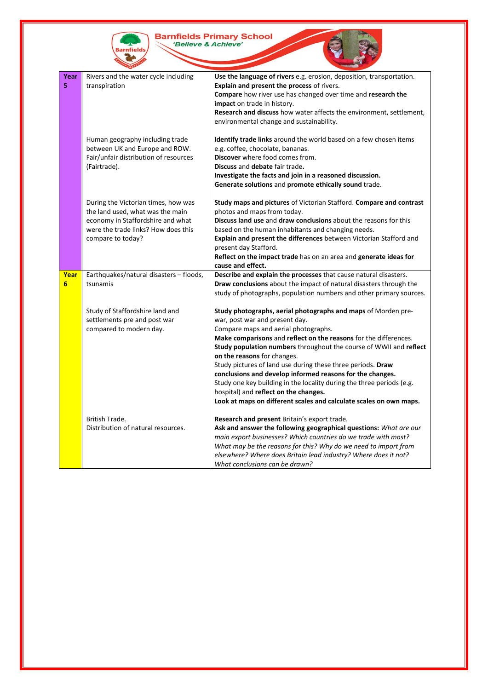

Barnfields Primary School

C

| Year<br>5. | Rivers and the water cycle including<br>transpiration                                                                                                                    | Use the language of rivers e.g. erosion, deposition, transportation.<br>Explain and present the process of rivers.<br>Compare how river use has changed over time and research the<br><b>impact</b> on trade in history.<br>Research and discuss how water affects the environment, settlement,<br>environmental change and sustainability.                                                                                                                                                                                                                                                                                          |
|------------|--------------------------------------------------------------------------------------------------------------------------------------------------------------------------|--------------------------------------------------------------------------------------------------------------------------------------------------------------------------------------------------------------------------------------------------------------------------------------------------------------------------------------------------------------------------------------------------------------------------------------------------------------------------------------------------------------------------------------------------------------------------------------------------------------------------------------|
|            | Human geography including trade<br>between UK and Europe and ROW.<br>Fair/unfair distribution of resources<br>(Fairtrade).                                               | Identify trade links around the world based on a few chosen items<br>e.g. coffee, chocolate, bananas.<br><b>Discover</b> where food comes from.<br>Discuss and debate fair trade.<br>Investigate the facts and join in a reasoned discussion.<br>Generate solutions and promote ethically sound trade.                                                                                                                                                                                                                                                                                                                               |
|            | During the Victorian times, how was<br>the land used, what was the main<br>economy in Staffordshire and what<br>were the trade links? How does this<br>compare to today? | Study maps and pictures of Victorian Stafford. Compare and contrast<br>photos and maps from today.<br>Discuss land use and draw conclusions about the reasons for this<br>based on the human inhabitants and changing needs.<br>Explain and present the differences between Victorian Stafford and<br>present day Stafford.<br>Reflect on the impact trade has on an area and generate ideas for<br>cause and effect.                                                                                                                                                                                                                |
| Year<br>6  | Earthquakes/natural disasters - floods,<br>tsunamis                                                                                                                      | Describe and explain the processes that cause natural disasters.<br>Draw conclusions about the impact of natural disasters through the<br>study of photographs, population numbers and other primary sources.                                                                                                                                                                                                                                                                                                                                                                                                                        |
|            | Study of Staffordshire land and<br>settlements pre and post war<br>compared to modern day.                                                                               | Study photographs, aerial photographs and maps of Morden pre-<br>war, post war and present day.<br>Compare maps and aerial photographs.<br>Make comparisons and reflect on the reasons for the differences.<br>Study population numbers throughout the course of WWII and reflect<br>on the reasons for changes.<br>Study pictures of land use during these three periods. Draw<br>conclusions and develop informed reasons for the changes.<br>Study one key building in the locality during the three periods (e.g.<br>hospital) and reflect on the changes.<br>Look at maps on different scales and calculate scales on own maps. |
|            | British Trade.<br>Distribution of natural resources.                                                                                                                     | Research and present Britain's export trade.<br>Ask and answer the following geographical questions: What are our<br>main export businesses? Which countries do we trade with most?<br>What may be the reasons for this? Why do we need to import from<br>elsewhere? Where does Britain lead industry? Where does it not?<br>What conclusions can be drawn?                                                                                                                                                                                                                                                                          |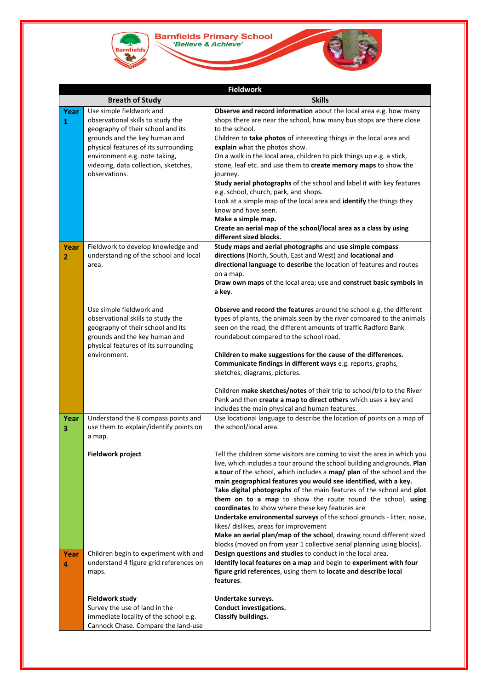

| <b>Fieldwork</b>       |                                                                                                                                                                                                                                                                       |                                                                                                                                                                                                                                                                                                                                                                                                                                                                                                                                                                                                                                                                                                                                                                     |
|------------------------|-----------------------------------------------------------------------------------------------------------------------------------------------------------------------------------------------------------------------------------------------------------------------|---------------------------------------------------------------------------------------------------------------------------------------------------------------------------------------------------------------------------------------------------------------------------------------------------------------------------------------------------------------------------------------------------------------------------------------------------------------------------------------------------------------------------------------------------------------------------------------------------------------------------------------------------------------------------------------------------------------------------------------------------------------------|
| <b>Breath of Study</b> |                                                                                                                                                                                                                                                                       | <b>Skills</b>                                                                                                                                                                                                                                                                                                                                                                                                                                                                                                                                                                                                                                                                                                                                                       |
| Year<br>$\mathbf{1}$   | Use simple fieldwork and<br>observational skills to study the<br>geography of their school and its<br>grounds and the key human and<br>physical features of its surrounding<br>environment e.g. note taking,<br>videoing, data collection, sketches,<br>observations. | Observe and record information about the local area e.g. how many<br>shops there are near the school, how many bus stops are there close<br>to the school.<br>Children to take photos of interesting things in the local area and<br>explain what the photos show.<br>On a walk in the local area, children to pick things up e.g. a stick,<br>stone, leaf etc. and use them to create memory maps to show the<br>journey.<br>Study aerial photographs of the school and label it with key features<br>e.g. school, church, park, and shops.<br>Look at a simple map of the local area and identify the things they<br>know and have seen.<br>Make a simple map.<br>Create an aerial map of the school/local area as a class by using<br>different sized blocks.    |
| Year<br>2              | Fieldwork to develop knowledge and<br>understanding of the school and local<br>area.                                                                                                                                                                                  | Study maps and aerial photographs and use simple compass<br>directions (North, South, East and West) and locational and<br>directional language to describe the location of features and routes<br>on a map.<br>Draw own maps of the local area; use and construct basic symbols in<br>a key.                                                                                                                                                                                                                                                                                                                                                                                                                                                                       |
|                        | Use simple fieldwork and<br>observational skills to study the<br>geography of their school and its<br>grounds and the key human and<br>physical features of its surrounding<br>environment.                                                                           | Observe and record the features around the school e.g. the different<br>types of plants, the animals seen by the river compared to the animals<br>seen on the road, the different amounts of traffic Radford Bank<br>roundabout compared to the school road.<br>Children to make suggestions for the cause of the differences.<br>Communicate findings in different ways e.g. reports, graphs,<br>sketches, diagrams, pictures.<br>Children make sketches/notes of their trip to school/trip to the River<br>Penk and then create a map to direct others which uses a key and<br>includes the main physical and human features.                                                                                                                                     |
| Year<br>3              | Understand the 8 compass points and<br>use them to explain/identify points on<br>a map.                                                                                                                                                                               | Use locational language to describe the location of points on a map of<br>the school/local area.                                                                                                                                                                                                                                                                                                                                                                                                                                                                                                                                                                                                                                                                    |
|                        | Fieldwork project                                                                                                                                                                                                                                                     | Tell the children some visitors are coming to visit the area in which you<br>live, which includes a tour around the school building and grounds. Plan<br>a tour of the school, which includes a map/ plan of the school and the<br>main geographical features you would see identified, with a key.<br>Take digital photographs of the main features of the school and plot<br>them on to a map to show the route round the school, using<br>coordinates to show where these key features are<br>Undertake environmental surveys of the school grounds - litter, noise,<br>likes/ dislikes, areas for improvement<br>Make an aerial plan/map of the school, drawing round different sized<br>blocks (moved on from year 1 collective aerial planning using blocks). |
| Year<br>4              | Children begin to experiment with and<br>understand 4 figure grid references on<br>maps.                                                                                                                                                                              | Design questions and studies to conduct in the local area.<br>Identify local features on a map and begin to experiment with four<br>figure grid references, using them to locate and describe local<br>features.                                                                                                                                                                                                                                                                                                                                                                                                                                                                                                                                                    |
|                        | Fieldwork study<br>Survey the use of land in the<br>immediate locality of the school e.g.<br>Cannock Chase. Compare the land-use                                                                                                                                      | Undertake surveys.<br>Conduct investigations.<br>Classify buildings.                                                                                                                                                                                                                                                                                                                                                                                                                                                                                                                                                                                                                                                                                                |